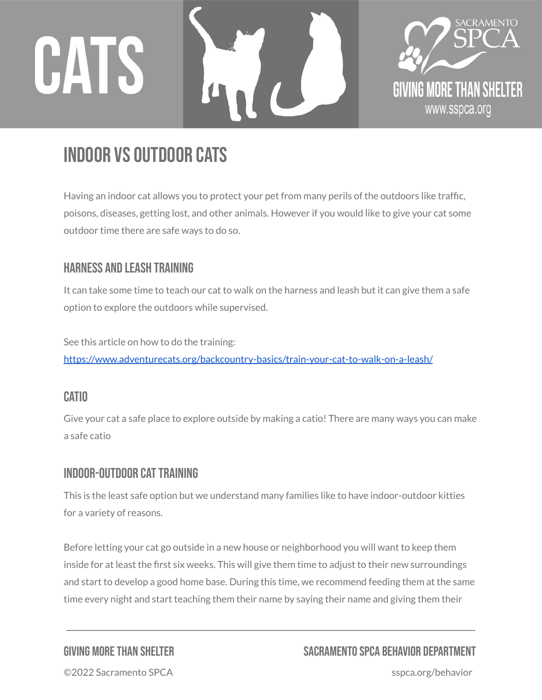



# Indoor vs Outdoor Cats

Having an indoor cat allows you to protect your pet from many perils of the outdoors like traffic, poisons, diseases, getting lost, and other animals. However if you would like to give your cat some outdoor time there are safe ways to do so.

# Harness and Leash Training

It can take some time to teach our cat to walk on the harness and leash but it can give them a safe option to explore the outdoors while supervised.

See this article on how to do the training: <https://www.adventurecats.org/backcountry-basics/train-your-cat-to-walk-on-a-leash/>

### **CATIO**

Give your cat a safe place to explore outside by making a catio! There are many ways you can make a safe catio

# INDOOR-OUTDOOR CAT TRAINING

This is the least safe option but we understand many families like to have indoor-outdoor kitties for a variety of reasons.

Before letting your cat go outside in a new house or neighborhood you will want to keep them inside for at least the first six weeks. This will give them time to adjust to their new surroundings and start to develop a good home base. During this time, we recommend feeding them at the same time every night and start teaching them their name by saying their name and giving them their

# GIVING MORETHAN SHELTER SACRAMENTO SPCA BEHAVIOR DEPARTMENT

©2022 Sacramento SPCA sspca.org/behavior